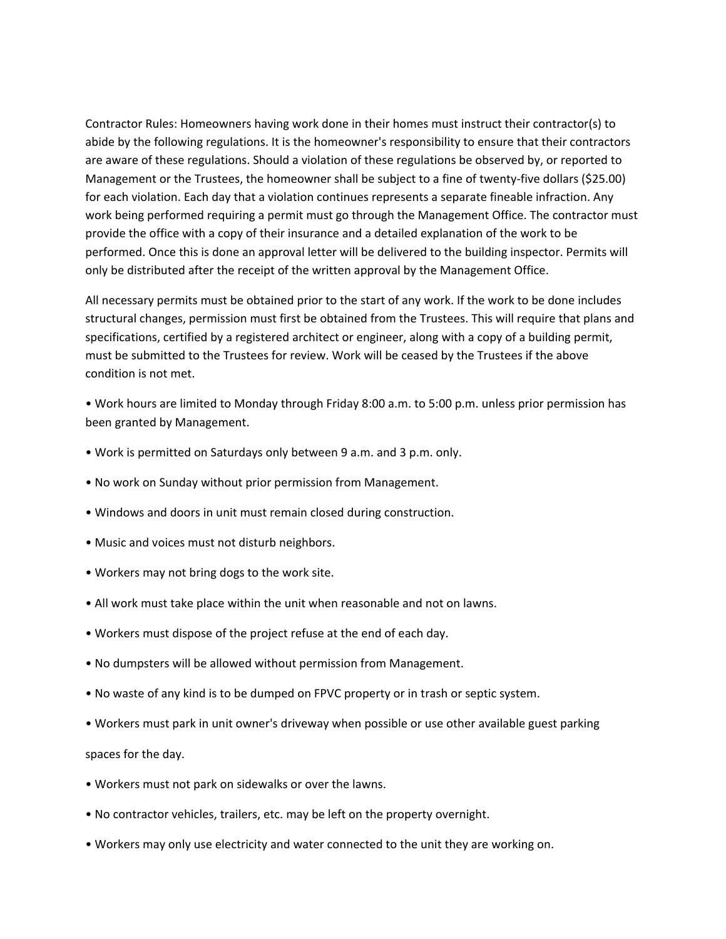Contractor Rules: Homeowners having work done in their homes must instruct their contractor(s) to abide by the following regulations. It is the homeowner's responsibility to ensure that their contractors are aware of these regulations. Should a violation of these regulations be observed by, or reported to Management or the Trustees, the homeowner shall be subject to a fine of twenty-five dollars (\$25.00) for each violation. Each day that a violation continues represents a separate fineable infraction. Any work being performed requiring a permit must go through the Management Office. The contractor must provide the office with a copy of their insurance and a detailed explanation of the work to be performed. Once this is done an approval letter will be delivered to the building inspector. Permits will only be distributed after the receipt of the written approval by the Management Office.

All necessary permits must be obtained prior to the start of any work. If the work to be done includes structural changes, permission must first be obtained from the Trustees. This will require that plans and specifications, certified by a registered architect or engineer, along with a copy of a building permit, must be submitted to the Trustees for review. Work will be ceased by the Trustees if the above condition is not met.

• Work hours are limited to Monday through Friday 8:00 a.m. to 5:00 p.m. unless prior permission has been granted by Management.

- Work is permitted on Saturdays only between 9 a.m. and 3 p.m. only.
- No work on Sunday without prior permission from Management.
- Windows and doors in unit must remain closed during construction.
- Music and voices must not disturb neighbors.
- Workers may not bring dogs to the work site.
- All work must take place within the unit when reasonable and not on lawns.
- Workers must dispose of the project refuse at the end of each day.
- No dumpsters will be allowed without permission from Management.
- No waste of any kind is to be dumped on FPVC property or in trash or septic system.
- Workers must park in unit owner's driveway when possible or use other available guest parking

spaces for the day.

- Workers must not park on sidewalks or over the lawns.
- No contractor vehicles, trailers, etc. may be left on the property overnight.
- Workers may only use electricity and water connected to the unit they are working on.